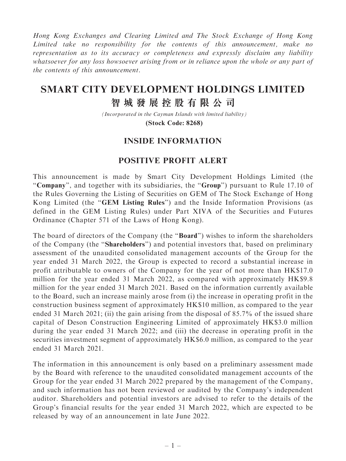Hong Kong Exchanges and Clearing Limited and The Stock Exchange of Hong Kong Limited take no responsibility for the contents of this announcement, make no representation as to its accuracy or completeness and expressly disclaim any liability whatsoever for any loss howsoever arising from or in reliance upon the whole or any part of the contents of this announcement.

## **SMART CITY DEVELOPMENT HOLDINGS LIMITED**

## **智城發展控股有限公司**

*(Incorporated in the Cayman Islands with limited liability)* **(Stock Code: 8268)**

## INSIDE INFORMATION

## POSITIVE PROFIT ALERT

This announcement is made by Smart City Development Holdings Limited (the ''Company'', and together with its subsidiaries, the ''Group'') pursuant to Rule 17.10 of the Rules Governing the Listing of Securities on GEM of The Stock Exchange of Hong Kong Limited (the ''GEM Listing Rules'') and the Inside Information Provisions (as defined in the GEM Listing Rules) under Part XIVA of the Securities and Futures Ordinance (Chapter 571 of the Laws of Hong Kong).

The board of directors of the Company (the "**Board**") wishes to inform the shareholders of the Company (the ''Shareholders'') and potential investors that, based on preliminary assessment of the unaudited consolidated management accounts of the Group for the year ended 31 March 2022, the Group is expected to record a substantial increase in profit attributable to owners of the Company for the year of not more than HK\$17.0 million for the year ended 31 March 2022, as compared with approximately HK\$9.8 million for the year ended 31 March 2021. Based on the information currently available to the Board, such an increase mainly arose from (i) the increase in operating profit in the construction business segment of approximately HK\$10 million, as compared to the year ended 31 March 2021; (ii) the gain arising from the disposal of 85.7% of the issued share capital of Deson Construction Engineering Limited of approximately HK\$3.0 million during the year ended 31 March 2022; and (iii) the decrease in operating profit in the securities investment segment of approximately HK\$6.0 million, as compared to the year ended 31 March 2021.

The information in this announcement is only based on a preliminary assessment made by the Board with reference to the unaudited consolidated management accounts of the Group for the year ended 31 March 2022 prepared by the management of the Company, and such information has not been reviewed or audited by the Company's independent auditor. Shareholders and potential investors are advised to refer to the details of the Group's financial results for the year ended 31 March 2022, which are expected to be released by way of an announcement in late June 2022.